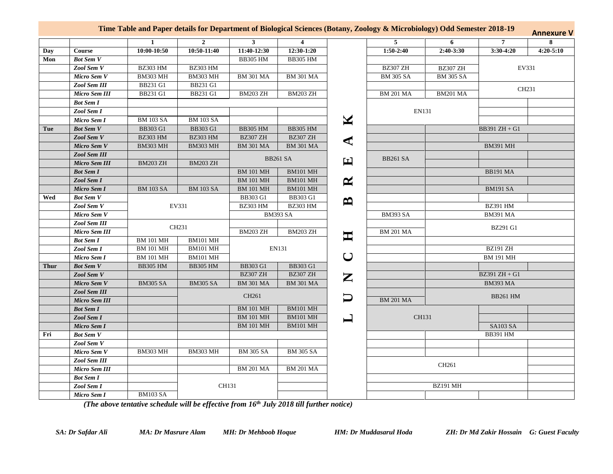| Time Table and Paper details for Department of Biological Sciences (Botany, Zoology & Microbiology) Odd Semester 2018-19 | <b>Annexure V</b> |
|--------------------------------------------------------------------------------------------------------------------------|-------------------|
|                                                                                                                          |                   |

|             |                      | $\mathbf{1}$     | $\overline{2}$   | $\mathbf{3}$     | $\overline{4}$   |                       | 5                | 6                | $\overline{7}$   | 8             |
|-------------|----------------------|------------------|------------------|------------------|------------------|-----------------------|------------------|------------------|------------------|---------------|
| Day         | Course               | 10:00-10:50      | 10:50-11:40      | 11:40-12:30      | 12:30-1:20       |                       | $1:50-2:40$      | $2:40-3:30$      | $3:30-4:20$      | $4:20 - 5:10$ |
| Mon         | <b>Bot Sem V</b>     |                  |                  | <b>BB305 HM</b>  | <b>BB305 HM</b>  |                       |                  |                  |                  |               |
|             | Zool Sem V           | <b>BZ303 HM</b>  | <b>BZ303 HM</b>  |                  |                  |                       | <b>BZ307 ZH</b>  | <b>BZ307 ZH</b>  |                  | EV331         |
|             | Micro Sem V          | <b>BM303 MH</b>  | <b>BM303 MH</b>  | <b>BM 301 MA</b> | <b>BM 301 MA</b> |                       | <b>BM 305 SA</b> | <b>BM 305 SA</b> |                  |               |
|             | Zool Sem III         | <b>BB231 G1</b>  | BB231 G1         |                  |                  |                       |                  |                  |                  | CH231         |
|             | Micro Sem III        | <b>BB231 G1</b>  | BB231 G1         | <b>BM203 ZH</b>  | <b>BM203 ZH</b>  |                       | <b>BM 201 MA</b> | <b>BM201 MA</b>  |                  |               |
|             | <b>Bot Sem I</b>     |                  |                  |                  |                  |                       |                  |                  |                  |               |
|             | Zool Sem I           |                  |                  |                  |                  |                       | <b>EN131</b>     |                  |                  |               |
|             | Micro Sem I          | <b>BM 103 SA</b> | <b>BM 103 SA</b> |                  |                  | $\blacktriangleright$ |                  |                  |                  |               |
| Tue         | <b>Bot Sem V</b>     | <b>BB303 G1</b>  | BB303 G1         | <b>BB305 HM</b>  | <b>BB305 HM</b>  |                       |                  |                  | BB391 ZH + G1    |               |
|             | Zool Sem V           | <b>BZ303 HM</b>  | <b>BZ303 HM</b>  | <b>BZ307 ZH</b>  | <b>BZ307 ZH</b>  |                       |                  |                  |                  |               |
|             | Micro Sem V          | <b>BM303 MH</b>  | <b>BM303 MH</b>  | <b>BM 301 MA</b> | <b>BM 301 MA</b> | ◀                     |                  |                  | <b>BM391 MH</b>  |               |
|             | <b>Zool Sem III</b>  |                  |                  | <b>BB261 SA</b>  |                  |                       |                  |                  |                  |               |
|             | Micro Sem III        | <b>BM203 ZH</b>  | <b>BM203 ZH</b>  |                  |                  | 囯                     | <b>BB261 SA</b>  |                  |                  |               |
|             | <b>Bot Sem I</b>     |                  |                  | <b>BM 101 MH</b> | <b>BM101 MH</b>  |                       |                  |                  | <b>BB191 MA</b>  |               |
|             | Zool Sem I           |                  |                  | <b>BM 101 MH</b> | <b>BM101 MH</b>  | $\boldsymbol{\alpha}$ |                  |                  |                  |               |
|             | Micro Sem I          | <b>BM 103 SA</b> | <b>BM 103 SA</b> | <b>BM 101 MH</b> | <b>BM101 MH</b>  |                       |                  |                  | <b>BM191 SA</b>  |               |
| Wed         | <b>Bot Sem V</b>     |                  |                  | <b>BB303 G1</b>  | <b>BB303 G1</b>  |                       |                  |                  |                  |               |
|             | Zool Sem V           |                  | EV331            | <b>BZ303 HM</b>  | <b>BZ303 HM</b>  | $\mathbf{B}$          |                  |                  | <b>BZ391 HM</b>  |               |
|             | Micro Sem V          |                  |                  |                  | <b>BM393 SA</b>  |                       | <b>BM393 SA</b>  |                  | <b>BM391 MA</b>  |               |
|             | Zool Sem III         |                  | CH231            |                  |                  |                       |                  |                  |                  |               |
|             | Micro Sem III        |                  |                  | <b>BM203 ZH</b>  | <b>BM203 ZH</b>  |                       | <b>BM 201 MA</b> |                  | <b>BZ291 G1</b>  |               |
|             | <b>Bot Sem I</b>     | <b>BM 101 MH</b> | <b>BM101 MH</b>  |                  |                  | 耳                     |                  |                  |                  |               |
|             | Zool Sem I           | <b>BM 101 MH</b> | <b>BM101 MH</b>  |                  | EN131            |                       |                  |                  | <b>BZ191 ZH</b>  |               |
|             | Micro Sem I          | <b>BM 101 MH</b> | <b>BM101 MH</b>  |                  |                  | $\cup$                |                  |                  | <b>BM 191 MH</b> |               |
| <b>Thur</b> | <b>Bot Sem V</b>     | <b>BB305 HM</b>  | <b>BB305 HM</b>  | <b>BB303 G1</b>  | <b>BB303 G1</b>  |                       |                  |                  |                  |               |
|             | Zool Sem V           |                  |                  | <b>BZ307 ZH</b>  | <b>BZ307 ZH</b>  | Z                     |                  |                  | $BZ391 ZH + G1$  |               |
|             | Micro Sem V          | <b>BM305 SA</b>  | <b>BM305 SA</b>  | <b>BM 301 MA</b> | <b>BM 301 MA</b> |                       |                  |                  | <b>BM393 MA</b>  |               |
|             | <b>Zool Sem III</b>  |                  | CH261            |                  |                  |                       |                  |                  | <b>BB261 HM</b>  |               |
|             | <b>Micro Sem III</b> |                  |                  |                  |                  |                       | <b>BM 201 MA</b> |                  |                  |               |
|             | <b>Bot Sem I</b>     |                  |                  | <b>BM 101 MH</b> | <b>BM101 MH</b>  |                       |                  |                  |                  |               |
|             | Zool Sem I           |                  |                  | <b>BM 101 MH</b> | <b>BM101 MH</b>  | $\blacksquare$        | CH131            |                  |                  |               |
|             | Micro Sem I          |                  |                  | <b>BM 101 MH</b> | <b>BM101 MH</b>  |                       |                  |                  | SA103 SA         |               |
| Fri         | <b>Bot Sem V</b>     |                  |                  |                  |                  |                       |                  |                  | <b>BB391 HM</b>  |               |
|             | Zool Sem V           |                  |                  |                  |                  |                       |                  |                  |                  |               |
|             | Micro Sem V          | <b>BM303 MH</b>  | $BM303$ MH       | <b>BM 305 SA</b> | <b>BM 305 SA</b> |                       |                  |                  |                  |               |
|             | Zool Sem III         |                  |                  |                  |                  |                       |                  | CH261            |                  |               |
|             | Micro Sem III        |                  |                  | <b>BM 201 MA</b> | <b>BM 201 MA</b> |                       |                  |                  |                  |               |
|             | <b>Bot Sem I</b>     |                  |                  |                  |                  |                       |                  |                  |                  |               |
|             | Zool Sem I           |                  |                  | CH131            |                  |                       |                  | <b>BZ191 MH</b>  |                  |               |
|             | Micro Sem I          | <b>BM103 SA</b>  |                  |                  |                  |                       |                  |                  |                  |               |

*(The above tentative schedule will be effective from 16th July 2018 till further notice)*